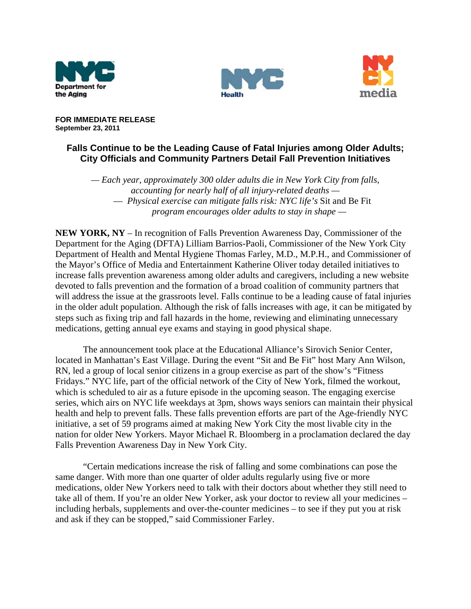





**FOR IMMEDIATE RELEASE September 23, 2011** 

## **Falls Continue to be the Leading Cause of Fatal Injuries among Older Adults; City Officials and Community Partners Detail Fall Prevention Initiatives**

*— Each year, approximately 300 older adults die in New York City from falls, accounting for nearly half of all injury-related deaths —* — *Physical exercise can mitigate falls risk: NYC life's* Sit and Be Fit *program encourages older adults to stay in shape —* 

**NEW YORK, NY** – In recognition of Falls Prevention Awareness Day, Commissioner of the Department for the Aging (DFTA) Lilliam Barrios-Paoli, Commissioner of the New York City Department of Health and Mental Hygiene Thomas Farley, M.D., M.P.H., and Commissioner of the Mayor's Office of Media and Entertainment Katherine Oliver today detailed initiatives to increase falls prevention awareness among older adults and caregivers, including a new website devoted to falls prevention and the formation of a broad coalition of community partners that will address the issue at the grassroots level. Falls continue to be a leading cause of fatal injuries in the older adult population. Although the risk of falls increases with age, it can be mitigated by steps such as fixing trip and fall hazards in the home, reviewing and eliminating unnecessary medications, getting annual eye exams and staying in good physical shape.

The announcement took place at the Educational Alliance's Sirovich Senior Center, located in Manhattan's East Village. During the event "Sit and Be Fit" host Mary Ann Wilson, RN, led a group of local senior citizens in a group exercise as part of the show's "Fitness Fridays." NYC life, part of the official network of the City of New York, filmed the workout, which is scheduled to air as a future episode in the upcoming season. The engaging exercise series, which airs on NYC life weekdays at 3pm, shows ways seniors can maintain their physical health and help to prevent falls. These falls prevention efforts are part of the Age-friendly NYC initiative, a set of 59 programs aimed at making New York City the most livable city in the nation for older New Yorkers. Mayor Michael R. Bloomberg in a proclamation declared the day Falls Prevention Awareness Day in New York City.

"Certain medications increase the risk of falling and some combinations can pose the same danger. With more than one quarter of older adults regularly using five or more medications, older New Yorkers need to talk with their doctors about whether they still need to take all of them. If you're an older New Yorker, ask your doctor to review all your medicines – including herbals, supplements and over-the-counter medicines – to see if they put you at risk and ask if they can be stopped," said Commissioner Farley.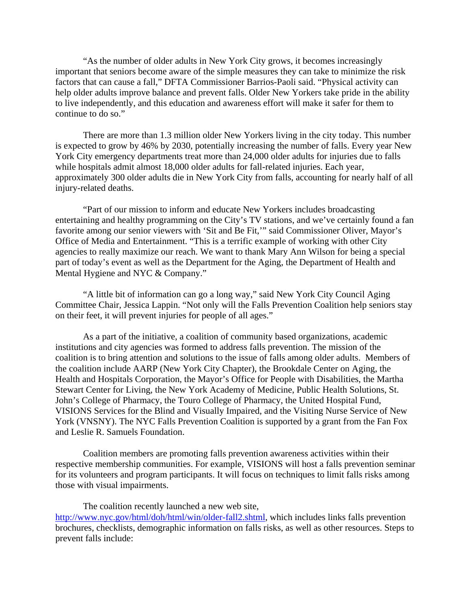"As the number of older adults in New York City grows, it becomes increasingly important that seniors become aware of the simple measures they can take to minimize the risk factors that can cause a fall," DFTA Commissioner Barrios-Paoli said. "Physical activity can help older adults improve balance and prevent falls. Older New Yorkers take pride in the ability to live independently, and this education and awareness effort will make it safer for them to continue to do so."

There are more than 1.3 million older New Yorkers living in the city today. This number is expected to grow by 46% by 2030, potentially increasing the number of falls. Every year New York City emergency departments treat more than 24,000 older adults for injuries due to falls while hospitals admit almost 18,000 older adults for fall-related injuries. Each year, approximately 300 older adults die in New York City from falls, accounting for nearly half of all injury-related deaths.

 "Part of our mission to inform and educate New Yorkers includes broadcasting entertaining and healthy programming on the City's TV stations, and we've certainly found a fan favorite among our senior viewers with 'Sit and Be Fit,'" said Commissioner Oliver, Mayor's Office of Media and Entertainment. "This is a terrific example of working with other City agencies to really maximize our reach. We want to thank Mary Ann Wilson for being a special part of today's event as well as the Department for the Aging, the Department of Health and Mental Hygiene and NYC & Company."

"A little bit of information can go a long way," said New York City Council Aging Committee Chair, Jessica Lappin. "Not only will the Falls Prevention Coalition help seniors stay on their feet, it will prevent injuries for people of all ages."

As a part of the initiative, a coalition of community based organizations, academic institutions and city agencies was formed to address falls prevention. The mission of the coalition is to bring attention and solutions to the issue of falls among older adults. Members of the coalition include AARP (New York City Chapter), the Brookdale Center on Aging, the Health and Hospitals Corporation, the Mayor's Office for People with Disabilities, the Martha Stewart Center for Living, the New York Academy of Medicine, Public Health Solutions, St. John's College of Pharmacy, the Touro College of Pharmacy, the United Hospital Fund, VISIONS Services for the Blind and Visually Impaired, and the Visiting Nurse Service of New York (VNSNY). The NYC Falls Prevention Coalition is supported by a grant from the Fan Fox and Leslie R. Samuels Foundation.

Coalition members are promoting falls prevention awareness activities within their respective membership communities. For example, VISIONS will host a falls prevention seminar for its volunteers and program participants. It will focus on techniques to limit falls risks among those with visual impairments.

The coalition recently launched a new web site, [http://www.nyc.gov/html/doh/html/win/older-fall2.shtml,](http://www.nyc.gov/html/doh/html/win/older-fall2.shtml) which includes links falls prevention brochures, checklists, demographic information on falls risks, as well as other resources. Steps to prevent falls include: